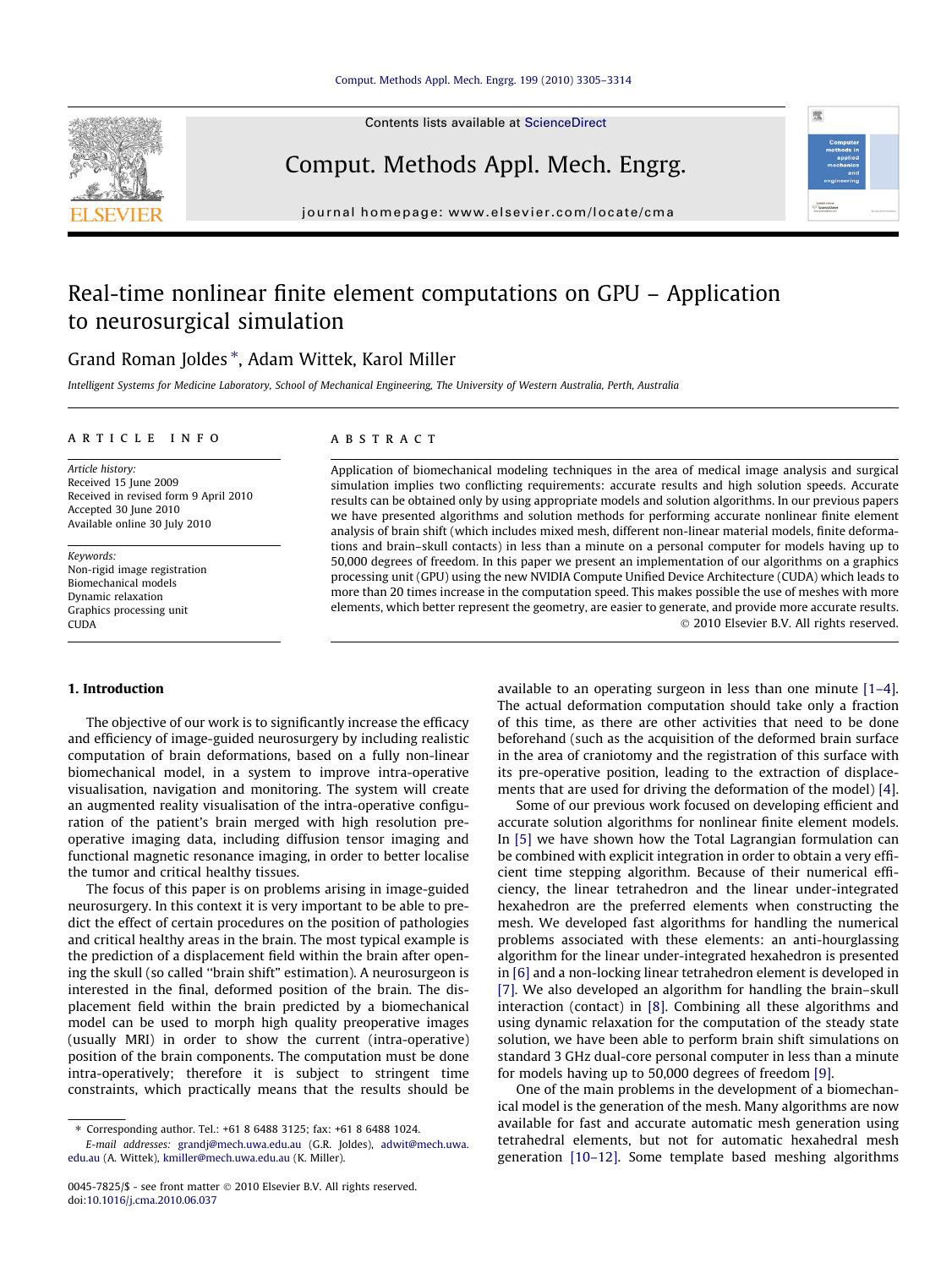#### [Comput. Methods Appl. Mech. Engrg. 199 \(2010\) 3305–3314](http://dx.doi.org/10.1016/j.cma.2010.06.037)

Contents lists available at [ScienceDirect](http://www.sciencedirect.com/science/journal/00457825)



Comput. Methods Appl. Mech. Engrg. journal homepage: [www.elsevier.com/locate/cma](http://www.elsevier.com/locate/cma)

# Real-time nonlinear finite element computations on GPU – Application to neurosurgical simulation

# Grand Roman Joldes<sup>\*</sup>, Adam Wittek, Karol Miller

Intelligent Systems for Medicine Laboratory, School of Mechanical Engineering, The University of Western Australia, Perth, Australia

ABSTRACT

#### article info

Article history: Received 15 June 2009 Received in revised form 9 April 2010 Accepted 30 June 2010 Available online 30 July 2010

Keywords: Non-rigid image registration Biomechanical models Dynamic relaxation Graphics processing unit CUDA

simulation implies two conflicting requirements: accurate results and high solution speeds. Accurate results can be obtained only by using appropriate models and solution algorithms. In our previous papers we have presented algorithms and solution methods for performing accurate nonlinear finite element analysis of brain shift (which includes mixed mesh, different non-linear material models, finite deformations and brain–skull contacts) in less than a minute on a personal computer for models having up to 50,000 degrees of freedom. In this paper we present an implementation of our algorithms on a graphics processing unit (GPU) using the new NVIDIA Compute Unified Device Architecture (CUDA) which leads to more than 20 times increase in the computation speed. This makes possible the use of meshes with more elements, which better represent the geometry, are easier to generate, and provide more accurate results. © 2010 Elsevier B.V. All rights reserved.

Application of biomechanical modeling techniques in the area of medical image analysis and surgical

#### 1. Introduction

The objective of our work is to significantly increase the efficacy and efficiency of image-guided neurosurgery by including realistic computation of brain deformations, based on a fully non-linear biomechanical model, in a system to improve intra-operative visualisation, navigation and monitoring. The system will create an augmented reality visualisation of the intra-operative configuration of the patient's brain merged with high resolution preoperative imaging data, including diffusion tensor imaging and functional magnetic resonance imaging, in order to better localise the tumor and critical healthy tissues.

The focus of this paper is on problems arising in image-guided neurosurgery. In this context it is very important to be able to predict the effect of certain procedures on the position of pathologies and critical healthy areas in the brain. The most typical example is the prediction of a displacement field within the brain after opening the skull (so called ''brain shift" estimation). A neurosurgeon is interested in the final, deformed position of the brain. The displacement field within the brain predicted by a biomechanical model can be used to morph high quality preoperative images (usually MRI) in order to show the current (intra-operative) position of the brain components. The computation must be done intra-operatively; therefore it is subject to stringent time constraints, which practically means that the results should be

available to an operating surgeon in less than one minute [\[1–4\].](#page-8-0) The actual deformation computation should take only a fraction of this time, as there are other activities that need to be done beforehand (such as the acquisition of the deformed brain surface in the area of craniotomy and the registration of this surface with its pre-operative position, leading to the extraction of displacements that are used for driving the deformation of the model) [\[4\].](#page-8-0)

Some of our previous work focused on developing efficient and accurate solution algorithms for nonlinear finite element models. In [\[5\]](#page-8-0) we have shown how the Total Lagrangian formulation can be combined with explicit integration in order to obtain a very efficient time stepping algorithm. Because of their numerical efficiency, the linear tetrahedron and the linear under-integrated hexahedron are the preferred elements when constructing the mesh. We developed fast algorithms for handling the numerical problems associated with these elements: an anti-hourglassing algorithm for the linear under-integrated hexahedron is presented in [\[6\]](#page-8-0) and a non-locking linear tetrahedron element is developed in [\[7\]](#page-8-0). We also developed an algorithm for handling the brain–skull interaction (contact) in [\[8\]](#page-8-0). Combining all these algorithms and using dynamic relaxation for the computation of the steady state solution, we have been able to perform brain shift simulations on standard 3 GHz dual-core personal computer in less than a minute for models having up to 50,000 degrees of freedom [\[9\]](#page-8-0).

One of the main problems in the development of a biomechanical model is the generation of the mesh. Many algorithms are now available for fast and accurate automatic mesh generation using tetrahedral elements, but not for automatic hexahedral mesh generation [\[10–12\].](#page-8-0) Some template based meshing algorithms

<sup>⇑</sup> Corresponding author. Tel.: +61 8 6488 3125; fax: +61 8 6488 1024.

E-mail addresses: [grandj@mech.uwa.edu.au](mailto:grandj@mech.uwa.edu.au) (G.R. Joldes), [adwit@mech.uwa.](mailto:adwit@mech.uwa. edu.au) [edu.au](mailto:adwit@mech.uwa. edu.au) (A. Wittek), [kmiller@mech.uwa.edu.au](mailto:kmiller@mech.uwa.edu.au) (K. Miller).

<sup>0045-7825/\$ -</sup> see front matter © 2010 Elsevier B.V. All rights reserved. doi[:10.1016/j.cma.2010.06.037](http://dx.doi.org/10.1016/j.cma.2010.06.037)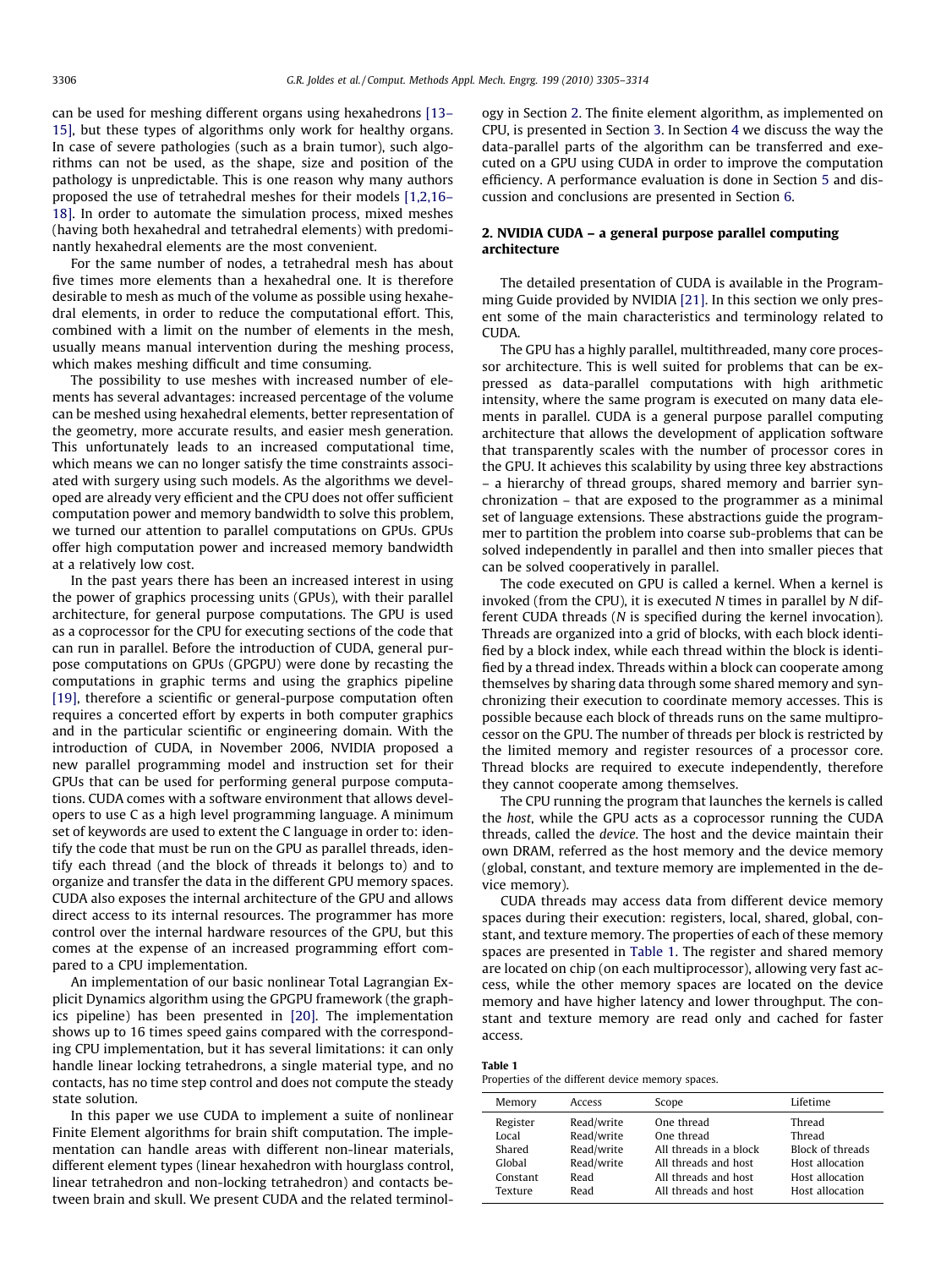<span id="page-1-0"></span>can be used for meshing different organs using hexahedrons [\[13–](#page-8-0) [15\]](#page-8-0), but these types of algorithms only work for healthy organs. In case of severe pathologies (such as a brain tumor), such algorithms can not be used, as the shape, size and position of the pathology is unpredictable. This is one reason why many authors proposed the use of tetrahedral meshes for their models [\[1,2,16–](#page-8-0) [18\]](#page-8-0). In order to automate the simulation process, mixed meshes (having both hexahedral and tetrahedral elements) with predominantly hexahedral elements are the most convenient.

For the same number of nodes, a tetrahedral mesh has about five times more elements than a hexahedral one. It is therefore desirable to mesh as much of the volume as possible using hexahedral elements, in order to reduce the computational effort. This, combined with a limit on the number of elements in the mesh, usually means manual intervention during the meshing process, which makes meshing difficult and time consuming.

The possibility to use meshes with increased number of elements has several advantages: increased percentage of the volume can be meshed using hexahedral elements, better representation of the geometry, more accurate results, and easier mesh generation. This unfortunately leads to an increased computational time, which means we can no longer satisfy the time constraints associated with surgery using such models. As the algorithms we developed are already very efficient and the CPU does not offer sufficient computation power and memory bandwidth to solve this problem, we turned our attention to parallel computations on GPUs. GPUs offer high computation power and increased memory bandwidth at a relatively low cost.

In the past years there has been an increased interest in using the power of graphics processing units (GPUs), with their parallel architecture, for general purpose computations. The GPU is used as a coprocessor for the CPU for executing sections of the code that can run in parallel. Before the introduction of CUDA, general purpose computations on GPUs (GPGPU) were done by recasting the computations in graphic terms and using the graphics pipeline [\[19\]](#page-8-0), therefore a scientific or general-purpose computation often requires a concerted effort by experts in both computer graphics and in the particular scientific or engineering domain. With the introduction of CUDA, in November 2006, NVIDIA proposed a new parallel programming model and instruction set for their GPUs that can be used for performing general purpose computations. CUDA comes with a software environment that allows developers to use C as a high level programming language. A minimum set of keywords are used to extent the C language in order to: identify the code that must be run on the GPU as parallel threads, identify each thread (and the block of threads it belongs to) and to organize and transfer the data in the different GPU memory spaces. CUDA also exposes the internal architecture of the GPU and allows direct access to its internal resources. The programmer has more control over the internal hardware resources of the GPU, but this comes at the expense of an increased programming effort compared to a CPU implementation.

An implementation of our basic nonlinear Total Lagrangian Explicit Dynamics algorithm using the GPGPU framework (the graphics pipeline) has been presented in [\[20\]](#page-8-0). The implementation shows up to 16 times speed gains compared with the corresponding CPU implementation, but it has several limitations: it can only handle linear locking tetrahedrons, a single material type, and no contacts, has no time step control and does not compute the steady state solution.

In this paper we use CUDA to implement a suite of nonlinear Finite Element algorithms for brain shift computation. The implementation can handle areas with different non-linear materials, different element types (linear hexahedron with hourglass control, linear tetrahedron and non-locking tetrahedron) and contacts between brain and skull. We present CUDA and the related terminology in Section 2. The finite element algorithm, as implemented on CPU, is presented in Section [3.](#page-2-0) In Section [4](#page-4-0) we discuss the way the data-parallel parts of the algorithm can be transferred and executed on a GPU using CUDA in order to improve the computation efficiency. A performance evaluation is done in Section [5](#page-5-0) and discussion and conclusions are presented in Section [6](#page-7-0).

### 2. NVIDIA CUDA – a general purpose parallel computing architecture

The detailed presentation of CUDA is available in the Programming Guide provided by NVIDIA [\[21\]](#page-8-0). In this section we only present some of the main characteristics and terminology related to CUDA.

The GPU has a highly parallel, multithreaded, many core processor architecture. This is well suited for problems that can be expressed as data-parallel computations with high arithmetic intensity, where the same program is executed on many data elements in parallel. CUDA is a general purpose parallel computing architecture that allows the development of application software that transparently scales with the number of processor cores in the GPU. It achieves this scalability by using three key abstractions – a hierarchy of thread groups, shared memory and barrier synchronization – that are exposed to the programmer as a minimal set of language extensions. These abstractions guide the programmer to partition the problem into coarse sub-problems that can be solved independently in parallel and then into smaller pieces that can be solved cooperatively in parallel.

The code executed on GPU is called a kernel. When a kernel is invoked (from the CPU), it is executed N times in parallel by N different CUDA threads (N is specified during the kernel invocation). Threads are organized into a grid of blocks, with each block identified by a block index, while each thread within the block is identified by a thread index. Threads within a block can cooperate among themselves by sharing data through some shared memory and synchronizing their execution to coordinate memory accesses. This is possible because each block of threads runs on the same multiprocessor on the GPU. The number of threads per block is restricted by the limited memory and register resources of a processor core. Thread blocks are required to execute independently, therefore they cannot cooperate among themselves.

The CPU running the program that launches the kernels is called the host, while the GPU acts as a coprocessor running the CUDA threads, called the device. The host and the device maintain their own DRAM, referred as the host memory and the device memory (global, constant, and texture memory are implemented in the device memory).

CUDA threads may access data from different device memory spaces during their execution: registers, local, shared, global, constant, and texture memory. The properties of each of these memory spaces are presented in Table 1. The register and shared memory are located on chip (on each multiprocessor), allowing very fast access, while the other memory spaces are located on the device memory and have higher latency and lower throughput. The constant and texture memory are read only and cached for faster access.

| Properties of the different device memory spaces. |  |  |  |
|---------------------------------------------------|--|--|--|

Table 1

| Memory   | Access     | Scope                  | Lifetime         |
|----------|------------|------------------------|------------------|
| Register | Read/write | One thread             | Thread           |
| Local    | Read/write | One thread             | Thread           |
| Shared   | Read/write | All threads in a block | Block of threads |
| Global   | Read/write | All threads and host   | Host allocation  |
| Constant | Read       | All threads and host   | Host allocation  |
| Texture  | Read       | All threads and host   | Host allocation  |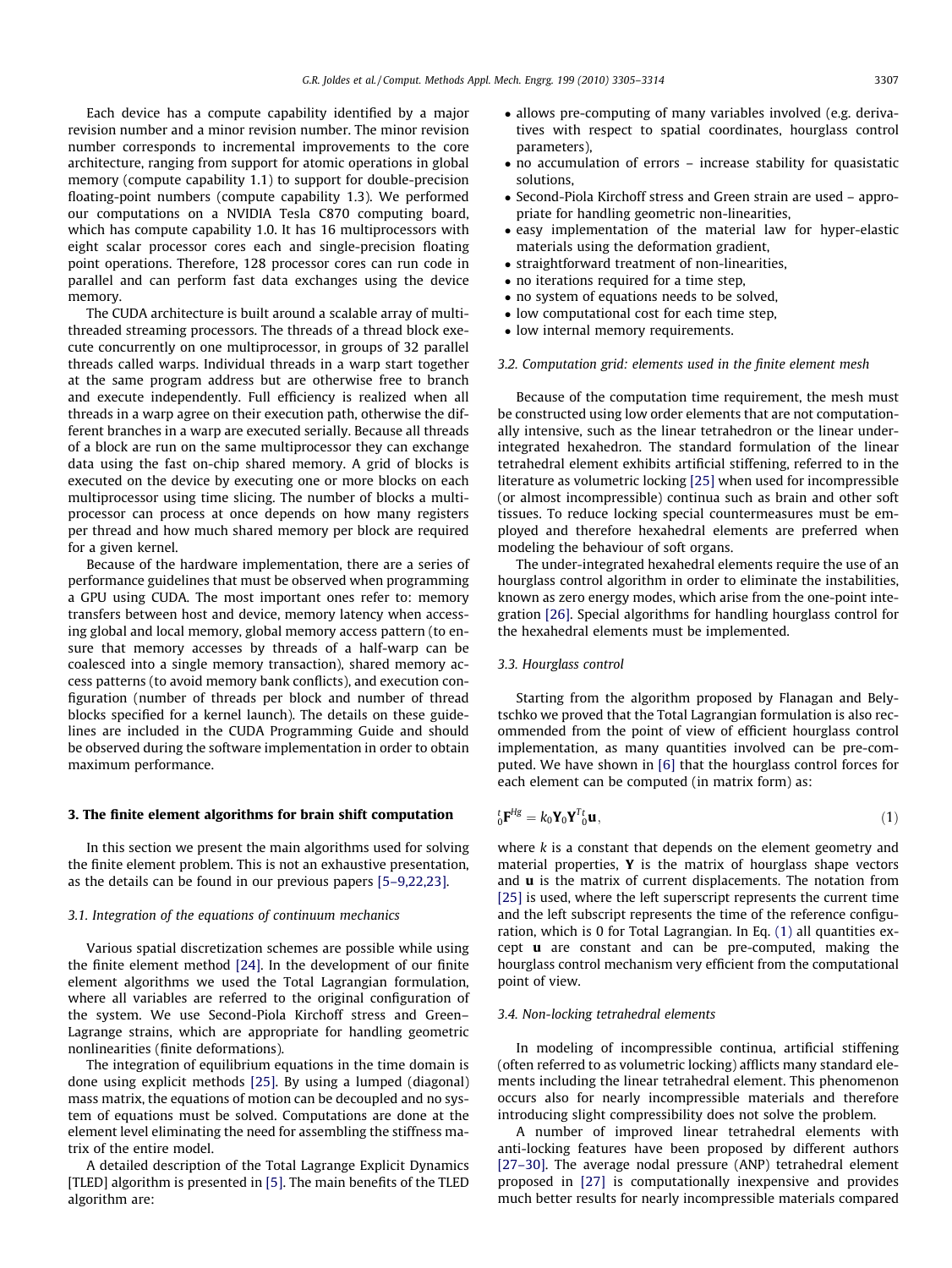<span id="page-2-0"></span>Each device has a compute capability identified by a major revision number and a minor revision number. The minor revision number corresponds to incremental improvements to the core architecture, ranging from support for atomic operations in global memory (compute capability 1.1) to support for double-precision floating-point numbers (compute capability 1.3). We performed our computations on a NVIDIA Tesla C870 computing board, which has compute capability 1.0. It has 16 multiprocessors with eight scalar processor cores each and single-precision floating point operations. Therefore, 128 processor cores can run code in parallel and can perform fast data exchanges using the device memory.

The CUDA architecture is built around a scalable array of multithreaded streaming processors. The threads of a thread block execute concurrently on one multiprocessor, in groups of 32 parallel threads called warps. Individual threads in a warp start together at the same program address but are otherwise free to branch and execute independently. Full efficiency is realized when all threads in a warp agree on their execution path, otherwise the different branches in a warp are executed serially. Because all threads of a block are run on the same multiprocessor they can exchange data using the fast on-chip shared memory. A grid of blocks is executed on the device by executing one or more blocks on each multiprocessor using time slicing. The number of blocks a multiprocessor can process at once depends on how many registers per thread and how much shared memory per block are required for a given kernel.

Because of the hardware implementation, there are a series of performance guidelines that must be observed when programming a GPU using CUDA. The most important ones refer to: memory transfers between host and device, memory latency when accessing global and local memory, global memory access pattern (to ensure that memory accesses by threads of a half-warp can be coalesced into a single memory transaction), shared memory access patterns (to avoid memory bank conflicts), and execution configuration (number of threads per block and number of thread blocks specified for a kernel launch). The details on these guidelines are included in the CUDA Programming Guide and should be observed during the software implementation in order to obtain maximum performance.

#### 3. The finite element algorithms for brain shift computation

In this section we present the main algorithms used for solving the finite element problem. This is not an exhaustive presentation, as the details can be found in our previous papers [\[5–9,22,23\]](#page-8-0).

#### 3.1. Integration of the equations of continuum mechanics

Various spatial discretization schemes are possible while using the finite element method [\[24\]](#page-8-0). In the development of our finite element algorithms we used the Total Lagrangian formulation, where all variables are referred to the original configuration of the system. We use Second-Piola Kirchoff stress and Green– Lagrange strains, which are appropriate for handling geometric nonlinearities (finite deformations).

The integration of equilibrium equations in the time domain is done using explicit methods [\[25\]](#page-8-0). By using a lumped (diagonal) mass matrix, the equations of motion can be decoupled and no system of equations must be solved. Computations are done at the element level eliminating the need for assembling the stiffness matrix of the entire model.

A detailed description of the Total Lagrange Explicit Dynamics [TLED] algorithm is presented in [\[5\]](#page-8-0). The main benefits of the TLED algorithm are:

- allows pre-computing of many variables involved (e.g. derivatives with respect to spatial coordinates, hourglass control parameters),
- no accumulation of errors increase stability for quasistatic solutions,
- Second-Piola Kirchoff stress and Green strain are used appropriate for handling geometric non-linearities,
- easy implementation of the material law for hyper-elastic materials using the deformation gradient,
- straightforward treatment of non-linearities,
- no iterations required for a time step,
- no system of equations needs to be solved,
- low computational cost for each time step,
- low internal memory requirements.

#### 3.2. Computation grid: elements used in the finite element mesh

Because of the computation time requirement, the mesh must be constructed using low order elements that are not computationally intensive, such as the linear tetrahedron or the linear underintegrated hexahedron. The standard formulation of the linear tetrahedral element exhibits artificial stiffening, referred to in the literature as volumetric locking [\[25\]](#page-8-0) when used for incompressible (or almost incompressible) continua such as brain and other soft tissues. To reduce locking special countermeasures must be employed and therefore hexahedral elements are preferred when modeling the behaviour of soft organs.

The under-integrated hexahedral elements require the use of an hourglass control algorithm in order to eliminate the instabilities, known as zero energy modes, which arise from the one-point integration [\[26\].](#page-8-0) Special algorithms for handling hourglass control for the hexahedral elements must be implemented.

#### 3.3. Hourglass control

Starting from the algorithm proposed by Flanagan and Belytschko we proved that the Total Lagrangian formulation is also recommended from the point of view of efficient hourglass control implementation, as many quantities involved can be pre-computed. We have shown in [\[6\]](#page-8-0) that the hourglass control forces for each element can be computed (in matrix form) as:

$$
{}_{0}^{t}\mathbf{F}^{Hg} = k_{0}\mathbf{Y}_{0}\mathbf{Y}_{0}^{T}u,\tag{1}
$$

where  $k$  is a constant that depends on the element geometry and material properties, Y is the matrix of hourglass shape vectors and  $\bf{u}$  is the matrix of current displacements. The notation from [\[25\]](#page-8-0) is used, where the left superscript represents the current time and the left subscript represents the time of the reference configuration, which is 0 for Total Lagrangian. In Eq. (1) all quantities except u are constant and can be pre-computed, making the hourglass control mechanism very efficient from the computational point of view.

#### 3.4. Non-locking tetrahedral elements

In modeling of incompressible continua, artificial stiffening (often referred to as volumetric locking) afflicts many standard elements including the linear tetrahedral element. This phenomenon occurs also for nearly incompressible materials and therefore introducing slight compressibility does not solve the problem.

A number of improved linear tetrahedral elements with anti-locking features have been proposed by different authors [\[27–30\]](#page-8-0). The average nodal pressure (ANP) tetrahedral element proposed in [\[27\]](#page-8-0) is computationally inexpensive and provides much better results for nearly incompressible materials compared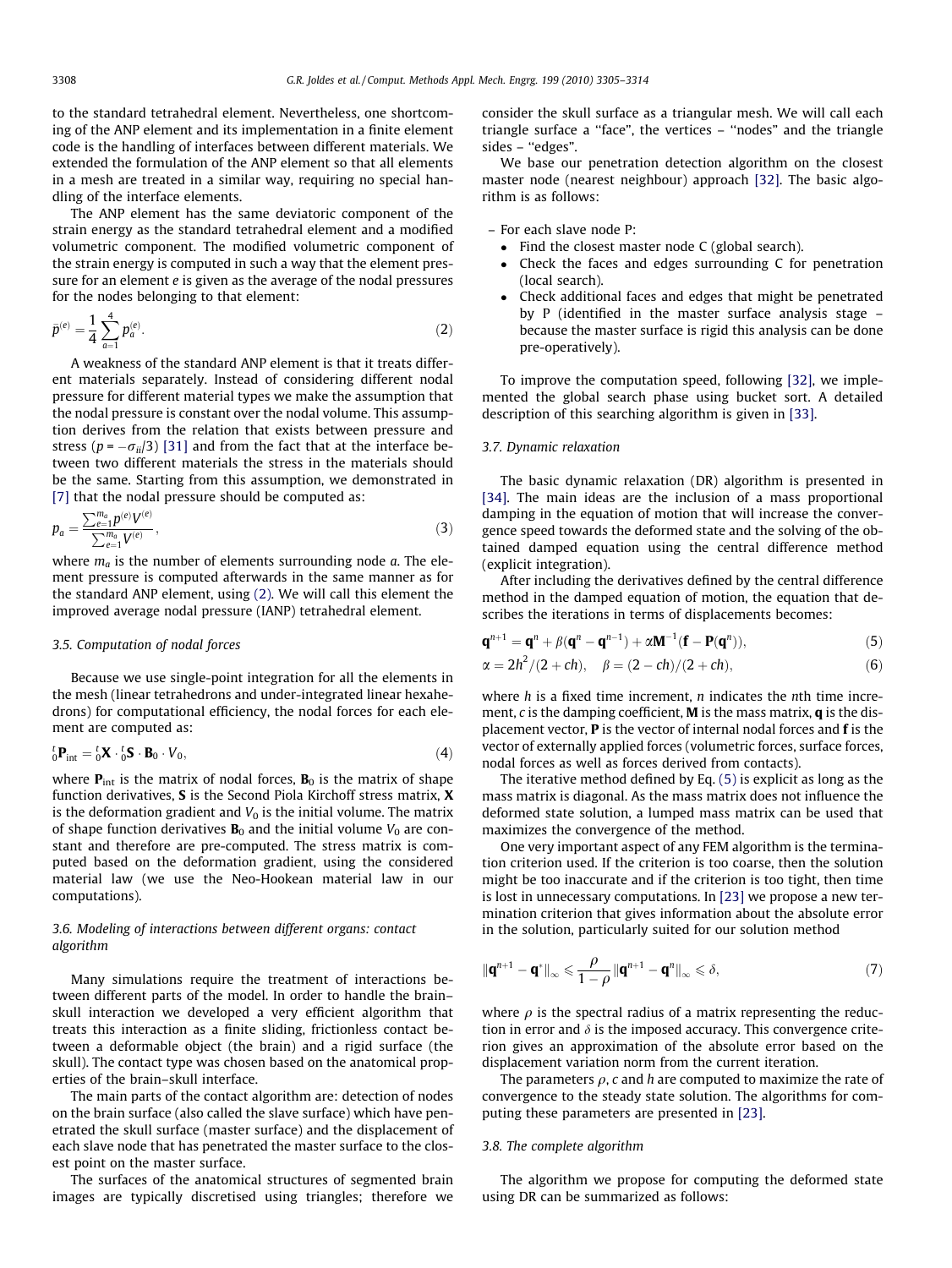<span id="page-3-0"></span>to the standard tetrahedral element. Nevertheless, one shortcoming of the ANP element and its implementation in a finite element code is the handling of interfaces between different materials. We extended the formulation of the ANP element so that all elements in a mesh are treated in a similar way, requiring no special handling of the interface elements.

The ANP element has the same deviatoric component of the strain energy as the standard tetrahedral element and a modified volumetric component. The modified volumetric component of the strain energy is computed in such a way that the element pressure for an element e is given as the average of the nodal pressures for the nodes belonging to that element:

$$
\bar{p}^{(e)} = \frac{1}{4} \sum_{a=1}^{4} p_a^{(e)}.
$$
 (2)

A weakness of the standard ANP element is that it treats different materials separately. Instead of considering different nodal pressure for different material types we make the assumption that the nodal pressure is constant over the nodal volume. This assumption derives from the relation that exists between pressure and stress ( $p = -\sigma_{ii}/3$ ) [\[31\]](#page-8-0) and from the fact that at the interface between two different materials the stress in the materials should be the same. Starting from this assumption, we demonstrated in [\[7\]](#page-8-0) that the nodal pressure should be computed as:

$$
p_a = \frac{\sum_{e=1}^{m_a} p^{(e)} V^{(e)}}{\sum_{e=1}^{m_a} V^{(e)}},\tag{3}
$$

where  $m_a$  is the number of elements surrounding node  $a$ . The element pressure is computed afterwards in the same manner as for the standard ANP element, using (2). We will call this element the improved average nodal pressure (IANP) tetrahedral element.

#### 3.5. Computation of nodal forces

Because we use single-point integration for all the elements in the mesh (linear tetrahedrons and under-integrated linear hexahedrons) for computational efficiency, the nodal forces for each element are computed as:

$$
{}_{0}^{t}\mathbf{P}_{int} = {}_{0}^{t}\mathbf{X} \cdot {}_{0}^{t}\mathbf{S} \cdot \mathbf{B}_{0} \cdot V_{0}, \qquad (4)
$$

where  $P_{int}$  is the matrix of nodal forces,  $B_0$  is the matrix of shape function derivatives, S is the Second Piola Kirchoff stress matrix, X is the deformation gradient and  $V_0$  is the initial volume. The matrix of shape function derivatives  $\mathbf{B}_0$  and the initial volume  $V_0$  are constant and therefore are pre-computed. The stress matrix is computed based on the deformation gradient, using the considered material law (we use the Neo-Hookean material law in our computations).

#### 3.6. Modeling of interactions between different organs: contact algorithm

Many simulations require the treatment of interactions between different parts of the model. In order to handle the brain– skull interaction we developed a very efficient algorithm that treats this interaction as a finite sliding, frictionless contact between a deformable object (the brain) and a rigid surface (the skull). The contact type was chosen based on the anatomical properties of the brain–skull interface.

The main parts of the contact algorithm are: detection of nodes on the brain surface (also called the slave surface) which have penetrated the skull surface (master surface) and the displacement of each slave node that has penetrated the master surface to the closest point on the master surface.

The surfaces of the anatomical structures of segmented brain images are typically discretised using triangles; therefore we

consider the skull surface as a triangular mesh. We will call each triangle surface a ''face", the vertices – ''nodes" and the triangle sides - "edges".

We base our penetration detection algorithm on the closest master node (nearest neighbour) approach [\[32\].](#page-8-0) The basic algorithm is as follows:

– For each slave node P:

- Find the closest master node C (global search).
- Check the faces and edges surrounding C for penetration (local search).
- - Check additional faces and edges that might be penetrated by P (identified in the master surface analysis stage – because the master surface is rigid this analysis can be done pre-operatively).

To improve the computation speed, following [\[32\]](#page-8-0), we implemented the global search phase using bucket sort. A detailed description of this searching algorithm is given in [\[33\]](#page-8-0).

#### 3.7. Dynamic relaxation

The basic dynamic relaxation (DR) algorithm is presented in [\[34\]](#page-8-0). The main ideas are the inclusion of a mass proportional damping in the equation of motion that will increase the convergence speed towards the deformed state and the solving of the obtained damped equation using the central difference method (explicit integration).

After including the derivatives defined by the central difference method in the damped equation of motion, the equation that describes the iterations in terms of displacements becomes:

$$
\mathbf{q}^{n+1} = \mathbf{q}^n + \beta(\mathbf{q}^n - \mathbf{q}^{n-1}) + \alpha \mathbf{M}^{-1}(\mathbf{f} - \mathbf{P}(\mathbf{q}^n)),
$$
\n(5)

$$
\alpha = 2h^2/(2 + ch), \quad \beta = (2 - ch)/(2 + ch), \tag{6}
$$

where  $h$  is a fixed time increment,  $n$  indicates the nth time increment,  $c$  is the damping coefficient, **M** is the mass matrix, **q** is the displacement vector,  $P$  is the vector of internal nodal forces and  $f$  is the vector of externally applied forces (volumetric forces, surface forces, nodal forces as well as forces derived from contacts).

The iterative method defined by Eq. (5) is explicit as long as the mass matrix is diagonal. As the mass matrix does not influence the deformed state solution, a lumped mass matrix can be used that maximizes the convergence of the method.

One very important aspect of any FEM algorithm is the termination criterion used. If the criterion is too coarse, then the solution might be too inaccurate and if the criterion is too tight, then time is lost in unnecessary computations. In [\[23\]](#page-8-0) we propose a new termination criterion that gives information about the absolute error in the solution, particularly suited for our solution method

$$
\|\mathbf{q}^{n+1} - \mathbf{q}^*\|_{\infty} \leq \frac{\rho}{1-\rho} \|\mathbf{q}^{n+1} - \mathbf{q}^n\|_{\infty} \leq \delta,
$$
\n(7)

where  $\rho$  is the spectral radius of a matrix representing the reduction in error and  $\delta$  is the imposed accuracy. This convergence criterion gives an approximation of the absolute error based on the displacement variation norm from the current iteration.

The parameters  $\rho$ , c and h are computed to maximize the rate of convergence to the steady state solution. The algorithms for computing these parameters are presented in [\[23\]](#page-8-0).

#### 3.8. The complete algorithm

The algorithm we propose for computing the deformed state using DR can be summarized as follows: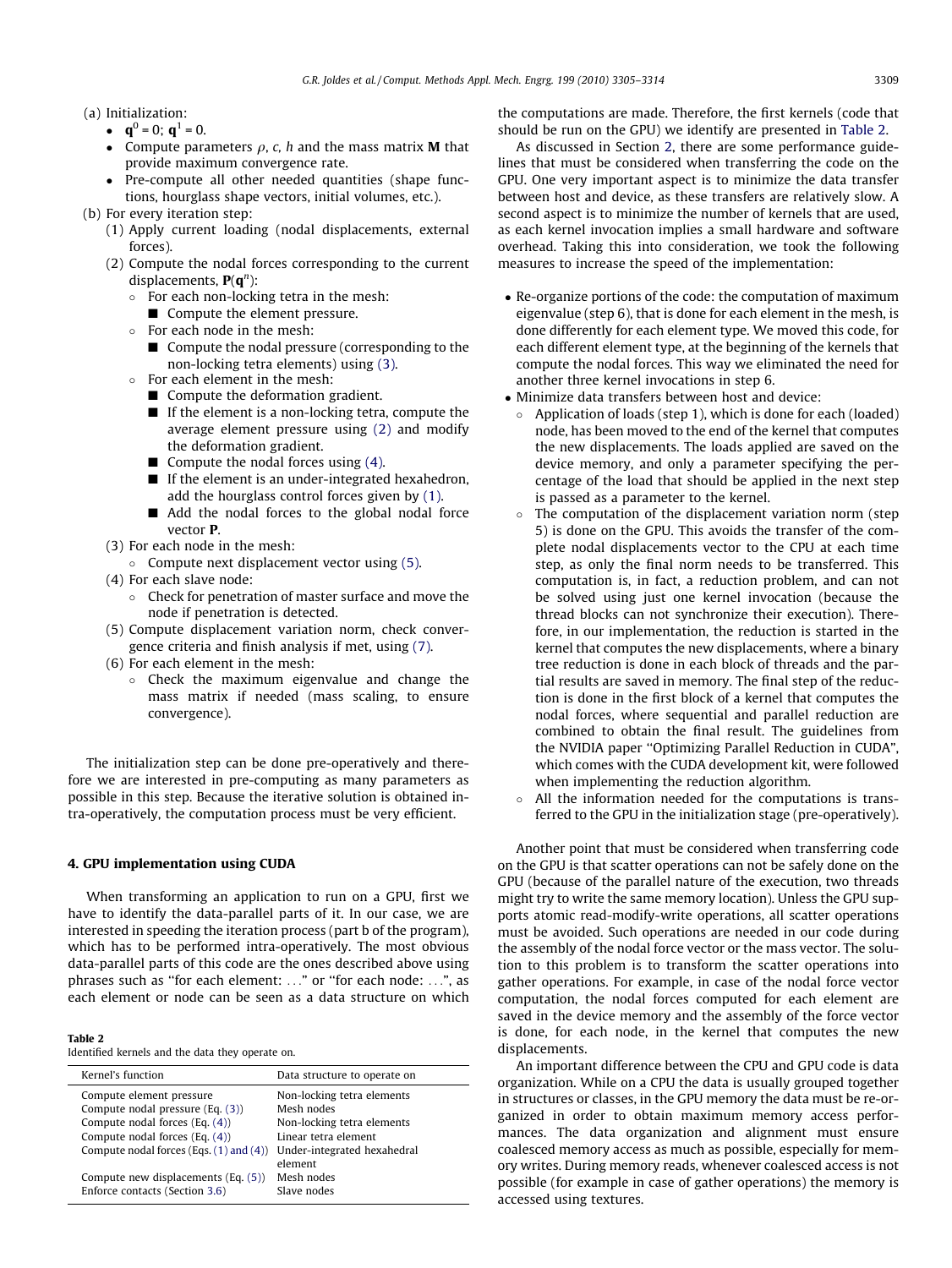- <span id="page-4-0"></span>(a) Initialization:
	- $\mathbf{q}^0 = 0$ ;  $\mathbf{q}^1 = 0$ .
		- Compute parameters  $\rho$ , c, h and the mass matrix **M** that provide maximum convergence rate.
		- Pre-compute all other needed quantities (shape functions, hourglass shape vectors, initial volumes, etc.).
- (b) For every iteration step:
	- (1) Apply current loading (nodal displacements, external forces).
	- (2) Compute the nodal forces corresponding to the current displacements,  $P(q^n)$ :
		- For each non-locking tetra in the mesh:
			- Compute the element pressure.
		- $\circ$  For each node in the mesh:
			- $\Box$  Compute the nodal pressure (corresponding to the non-locking tetra elements) using [\(3\)](#page-3-0).
		- For each element in the mesh:
			- **Compute the deformation gradient.**
			- $\blacksquare$  If the element is a non-locking tetra, compute the average element pressure using [\(2\)](#page-3-0) and modify the deformation gradient.
			- $\Box$  Compute the nodal forces using [\(4\)](#page-3-0).
			- $\blacksquare$  If the element is an under-integrated hexahedron, add the hourglass control forces given by [\(1\).](#page-2-0)
			- Add the nodal forces to the global nodal force vector P.
	- (3) For each node in the mesh:
		- $\circ$  Compute next displacement vector using [\(5\)](#page-3-0).
	- (4) For each slave node:
		- Check for penetration of master surface and move the node if penetration is detected.
	- (5) Compute displacement variation norm, check convergence criteria and finish analysis if met, using [\(7\)](#page-3-0).
	- (6) For each element in the mesh:
		- $\circ$  Check the maximum eigenvalue and change the mass matrix if needed (mass scaling, to ensure convergence).

The initialization step can be done pre-operatively and therefore we are interested in pre-computing as many parameters as possible in this step. Because the iterative solution is obtained intra-operatively, the computation process must be very efficient.

## 4. GPU implementation using CUDA

When transforming an application to run on a GPU, first we have to identify the data-parallel parts of it. In our case, we are interested in speeding the iteration process (part b of the program), which has to be performed intra-operatively. The most obvious data-parallel parts of this code are the ones described above using phrases such as ''for each element: ..." or ''for each node: ...", as each element or node can be seen as a data structure on which

#### Table 2

Identified kernels and the data they operate on.

| Kernel's function                           | Data structure to operate on |
|---------------------------------------------|------------------------------|
| Compute element pressure                    | Non-locking tetra elements   |
| Compute nodal pressure (Eq. (3))            | Mesh nodes                   |
| Compute nodal forces $(Eq, (4))$            | Non-locking tetra elements   |
| Compute nodal forces $(Eq, (4))$            | Linear tetra element         |
| Compute nodal forces $(Eng. (1)$ and $(4))$ | Under-integrated hexahedral  |
|                                             | element                      |
| Compute new displacements (Eq. (5))         | Mesh nodes                   |
| Enforce contacts (Section 3.6)              | Slave nodes                  |
|                                             |                              |

the computations are made. Therefore, the first kernels (code that should be run on the GPU) we identify are presented in Table 2.

As discussed in Section [2,](#page-1-0) there are some performance guidelines that must be considered when transferring the code on the GPU. One very important aspect is to minimize the data transfer between host and device, as these transfers are relatively slow. A second aspect is to minimize the number of kernels that are used, as each kernel invocation implies a small hardware and software overhead. Taking this into consideration, we took the following measures to increase the speed of the implementation:

- Re-organize portions of the code: the computation of maximum eigenvalue (step 6), that is done for each element in the mesh, is done differently for each element type. We moved this code, for each different element type, at the beginning of the kernels that compute the nodal forces. This way we eliminated the need for another three kernel invocations in step 6.
- Minimize data transfers between host and device:
- $\circ$  Application of loads (step 1), which is done for each (loaded) node, has been moved to the end of the kernel that computes the new displacements. The loads applied are saved on the device memory, and only a parameter specifying the percentage of the load that should be applied in the next step is passed as a parameter to the kernel.
- The computation of the displacement variation norm (step 5) is done on the GPU. This avoids the transfer of the complete nodal displacements vector to the CPU at each time step, as only the final norm needs to be transferred. This computation is, in fact, a reduction problem, and can not be solved using just one kernel invocation (because the thread blocks can not synchronize their execution). Therefore, in our implementation, the reduction is started in the kernel that computes the new displacements, where a binary tree reduction is done in each block of threads and the partial results are saved in memory. The final step of the reduction is done in the first block of a kernel that computes the nodal forces, where sequential and parallel reduction are combined to obtain the final result. The guidelines from the NVIDIA paper ''Optimizing Parallel Reduction in CUDA", which comes with the CUDA development kit, were followed when implementing the reduction algorithm.
- All the information needed for the computations is transferred to the GPU in the initialization stage (pre-operatively).

Another point that must be considered when transferring code on the GPU is that scatter operations can not be safely done on the GPU (because of the parallel nature of the execution, two threads might try to write the same memory location). Unless the GPU supports atomic read-modify-write operations, all scatter operations must be avoided. Such operations are needed in our code during the assembly of the nodal force vector or the mass vector. The solution to this problem is to transform the scatter operations into gather operations. For example, in case of the nodal force vector computation, the nodal forces computed for each element are saved in the device memory and the assembly of the force vector is done, for each node, in the kernel that computes the new displacements.

An important difference between the CPU and GPU code is data organization. While on a CPU the data is usually grouped together in structures or classes, in the GPU memory the data must be re-organized in order to obtain maximum memory access performances. The data organization and alignment must ensure coalesced memory access as much as possible, especially for memory writes. During memory reads, whenever coalesced access is not possible (for example in case of gather operations) the memory is accessed using textures.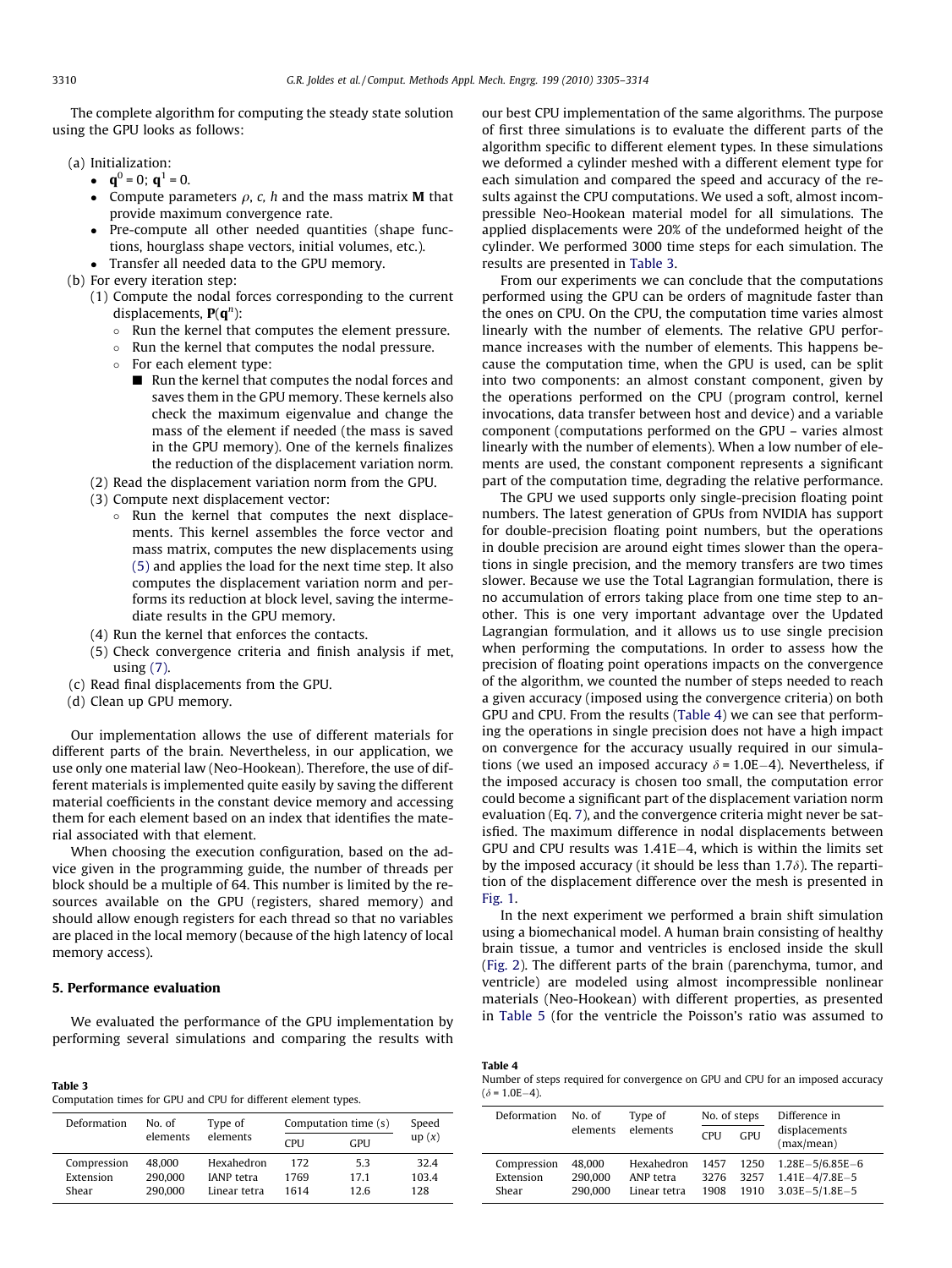<span id="page-5-0"></span>The complete algorithm for computing the steady state solution using the GPU looks as follows:

(a) Initialization:

- $\mathbf{q}^0 = 0$ ;  $\mathbf{q}^1 = 0$ .
- Compute parameters  $\rho$ , c, h and the mass matrix **M** that provide maximum convergence rate.
- Pre-compute all other needed quantities (shape functions, hourglass shape vectors, initial volumes, etc.).
- Transfer all needed data to the GPU memory.
- (b) For every iteration step:
	- (1) Compute the nodal forces corresponding to the current displacements,  $P(q^n)$ :
		- Run the kernel that computes the element pressure.
		- Run the kernel that computes the nodal pressure.
		- For each element type:
			- $\blacksquare$  Run the kernel that computes the nodal forces and saves them in the GPU memory. These kernels also check the maximum eigenvalue and change the mass of the element if needed (the mass is saved in the GPU memory). One of the kernels finalizes the reduction of the displacement variation norm.
	- (2) Read the displacement variation norm from the GPU.
	- (3) Compute next displacement vector:
		- $\circ$  Run the kernel that computes the next displacements. This kernel assembles the force vector and mass matrix, computes the new displacements using [\(5\)](#page-3-0) and applies the load for the next time step. It also computes the displacement variation norm and performs its reduction at block level, saving the intermediate results in the GPU memory.
	- (4) Run the kernel that enforces the contacts.
	- (5) Check convergence criteria and finish analysis if met, using [\(7\).](#page-3-0)
- (c) Read final displacements from the GPU.
- (d) Clean up GPU memory.

Our implementation allows the use of different materials for different parts of the brain. Nevertheless, in our application, we use only one material law (Neo-Hookean). Therefore, the use of different materials is implemented quite easily by saving the different material coefficients in the constant device memory and accessing them for each element based on an index that identifies the material associated with that element.

When choosing the execution configuration, based on the advice given in the programming guide, the number of threads per block should be a multiple of 64. This number is limited by the resources available on the GPU (registers, shared memory) and should allow enough registers for each thread so that no variables are placed in the local memory (because of the high latency of local memory access).

#### 5. Performance evaluation

We evaluated the performance of the GPU implementation by performing several simulations and comparing the results with

#### Table 3 Computation times for GPU and CPU for different element types.

| Deformation<br>No. of             |                              | Type of                                         | Computation time (s) |                     | Speed                |
|-----------------------------------|------------------------------|-------------------------------------------------|----------------------|---------------------|----------------------|
|                                   | elements                     | elements                                        | <b>CPH</b>           | GPU                 | up(x)                |
| Compression<br>Extension<br>Shear | 48.000<br>290,000<br>290,000 | Hexahedron<br><b>IANP</b> tetra<br>Linear tetra | 172<br>1769<br>1614  | 5.3<br>17.1<br>12.6 | 32.4<br>103.4<br>128 |

our best CPU implementation of the same algorithms. The purpose of first three simulations is to evaluate the different parts of the algorithm specific to different element types. In these simulations we deformed a cylinder meshed with a different element type for each simulation and compared the speed and accuracy of the results against the CPU computations. We used a soft, almost incompressible Neo-Hookean material model for all simulations. The applied displacements were 20% of the undeformed height of the cylinder. We performed 3000 time steps for each simulation. The results are presented in Table 3.

From our experiments we can conclude that the computations performed using the GPU can be orders of magnitude faster than the ones on CPU. On the CPU, the computation time varies almost linearly with the number of elements. The relative GPU performance increases with the number of elements. This happens because the computation time, when the GPU is used, can be split into two components: an almost constant component, given by the operations performed on the CPU (program control, kernel invocations, data transfer between host and device) and a variable component (computations performed on the GPU – varies almost linearly with the number of elements). When a low number of elements are used, the constant component represents a significant part of the computation time, degrading the relative performance.

The GPU we used supports only single-precision floating point numbers. The latest generation of GPUs from NVIDIA has support for double-precision floating point numbers, but the operations in double precision are around eight times slower than the operations in single precision, and the memory transfers are two times slower. Because we use the Total Lagrangian formulation, there is no accumulation of errors taking place from one time step to another. This is one very important advantage over the Updated Lagrangian formulation, and it allows us to use single precision when performing the computations. In order to assess how the precision of floating point operations impacts on the convergence of the algorithm, we counted the number of steps needed to reach a given accuracy (imposed using the convergence criteria) on both GPU and CPU. From the results (Table 4) we can see that performing the operations in single precision does not have a high impact on convergence for the accuracy usually required in our simulations (we used an imposed accuracy  $\delta$  = 1.0E-4). Nevertheless, if the imposed accuracy is chosen too small, the computation error could become a significant part of the displacement variation norm evaluation (Eq. [7](#page-3-0)), and the convergence criteria might never be satisfied. The maximum difference in nodal displacements between GPU and CPU results was  $1.41E-4$ , which is within the limits set by the imposed accuracy (it should be less than  $1.7\delta$ ). The repartition of the displacement difference over the mesh is presented in [Fig. 1](#page-6-0).

In the next experiment we performed a brain shift simulation using a biomechanical model. A human brain consisting of healthy brain tissue, a tumor and ventricles is enclosed inside the skull ([Fig. 2](#page-6-0)). The different parts of the brain (parenchyma, tumor, and ventricle) are modeled using almost incompressible nonlinear materials (Neo-Hookean) with different properties, as presented in [Table 5](#page-6-0) (for the ventricle the Poisson's ratio was assumed to

| Table 4                                                                         |
|---------------------------------------------------------------------------------|
| Number of steps required for convergence on GPU and CPU for an imposed accuracy |
| $(\delta = 1.0E - 4)$ .                                                         |

Table 4

| Deformation                       | No. of                       | No. of steps<br>Type of                 |              |                           | Difference in                                                         |  |
|-----------------------------------|------------------------------|-----------------------------------------|--------------|---------------------------|-----------------------------------------------------------------------|--|
|                                   | elements                     | elements                                | CPH          | <b>GPU</b>                | displacements<br>(max/mean)                                           |  |
| Compression<br>Extension<br>Shear | 48.000<br>290,000<br>290,000 | Hexahedron<br>ANP tetra<br>Linear tetra | 1457<br>1908 | 1250<br>3276 3257<br>1910 | $1.28E - 5/6.85E - 6$<br>$1.41E - 4/7.8E - 5$<br>$3.03E - 5/1.8E - 5$ |  |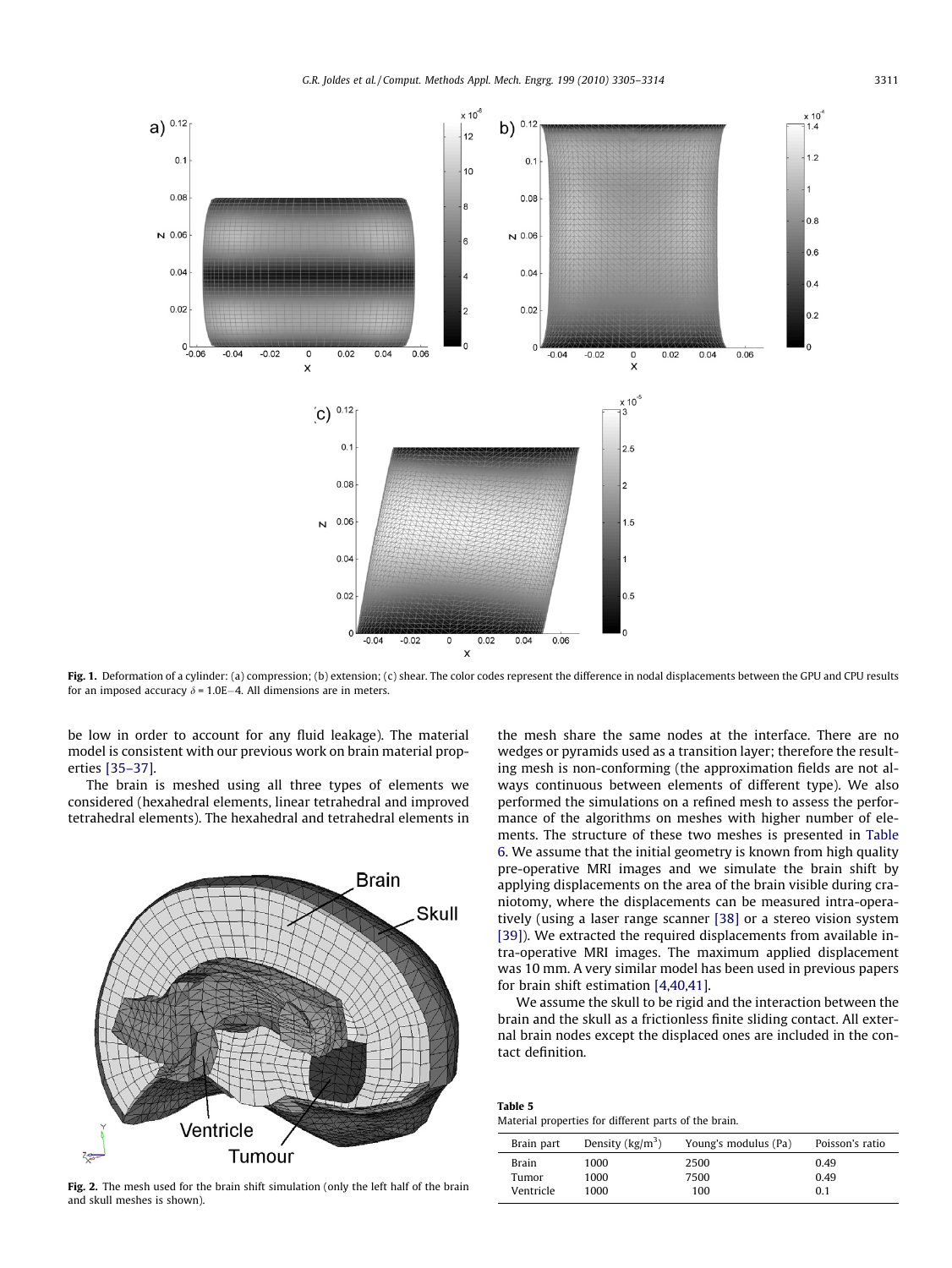<span id="page-6-0"></span>

Fig. 1. Deformation of a cylinder: (a) compression; (b) extension; (c) shear. The color codes represent the difference in nodal displacements between the GPU and CPU results for an imposed accuracy  $\delta$  = 1.0E-4. All dimensions are in meters.

be low in order to account for any fluid leakage). The material model is consistent with our previous work on brain material properties [\[35–37\].](#page-8-0)

The brain is meshed using all three types of elements we considered (hexahedral elements, linear tetrahedral and improved tetrahedral elements). The hexahedral and tetrahedral elements in



Fig. 2. The mesh used for the brain shift simulation (only the left half of the brain and skull meshes is shown).

the mesh share the same nodes at the interface. There are no wedges or pyramids used as a transition layer; therefore the resulting mesh is non-conforming (the approximation fields are not always continuous between elements of different type). We also performed the simulations on a refined mesh to assess the performance of the algorithms on meshes with higher number of elements. The structure of these two meshes is presented in [Table](#page-7-0) [6](#page-7-0). We assume that the initial geometry is known from high quality pre-operative MRI images and we simulate the brain shift by applying displacements on the area of the brain visible during craniotomy, where the displacements can be measured intra-operatively (using a laser range scanner [\[38\]](#page-9-0) or a stereo vision system [\[39\]](#page-9-0)). We extracted the required displacements from available intra-operative MRI images. The maximum applied displacement was 10 mm. A very similar model has been used in previous papers for brain shift estimation [\[4,40,41\]](#page-8-0).

We assume the skull to be rigid and the interaction between the brain and the skull as a frictionless finite sliding contact. All external brain nodes except the displaced ones are included in the contact definition.

Table 5 Material properties for different parts of the brain.

| Brain part | Density $(kg/m^3)$ | Young's modulus (Pa) | Poisson's ratio |
|------------|--------------------|----------------------|-----------------|
| Brain      | 1000               | 2500                 | 0.49            |
| Tumor      | 1000               | 7500                 | 0.49            |
| Ventricle  | 1000               | 100                  | 0.1             |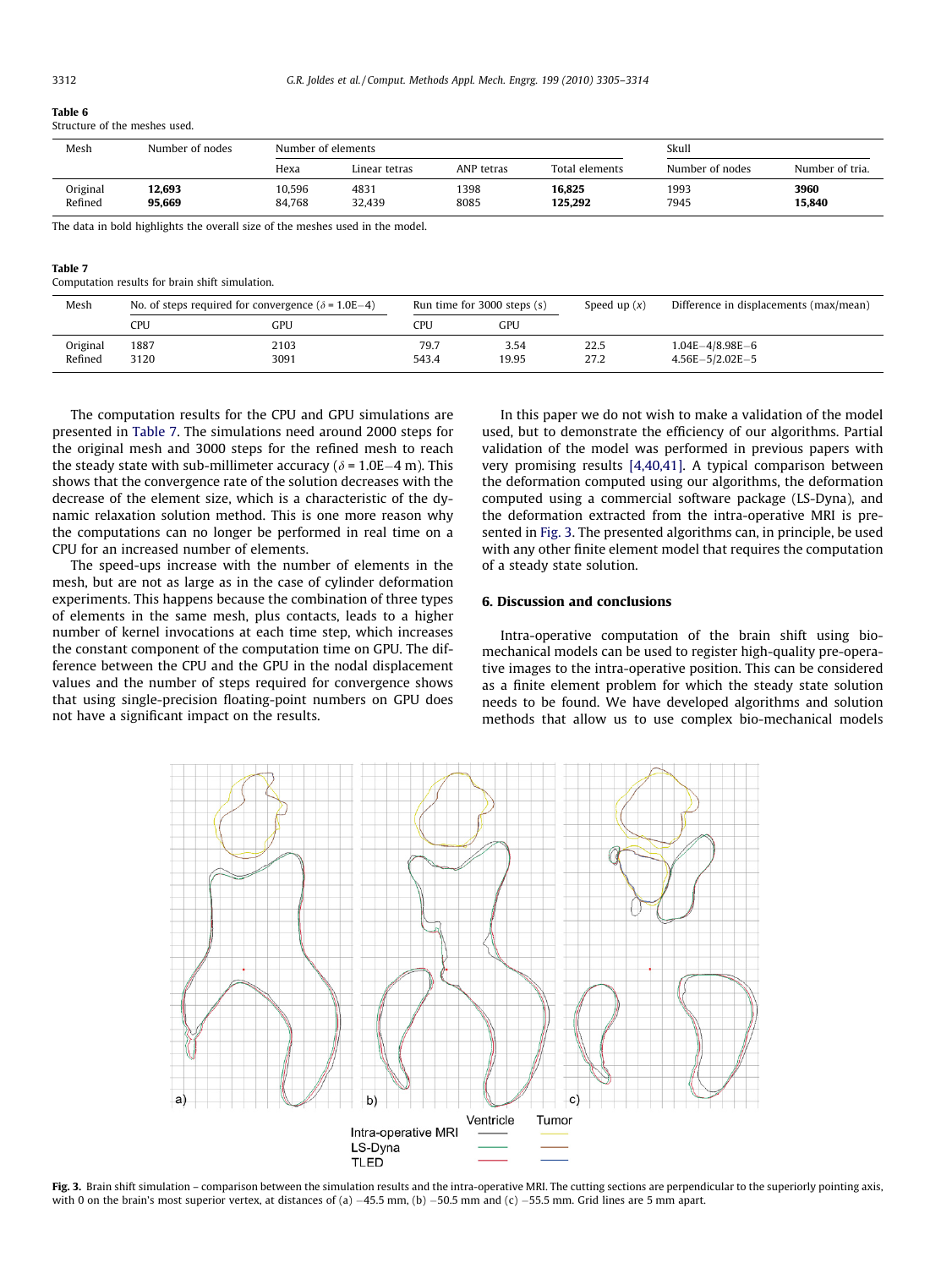<span id="page-7-0"></span>

| Table<br>ĥ |  |
|------------|--|
|            |  |

Structure of the meshes used.

| Mesh     | Number of nodes | Number of elements |               |            | Skull          |                 |                 |
|----------|-----------------|--------------------|---------------|------------|----------------|-----------------|-----------------|
|          |                 | Hexa               | Linear tetras | ANP tetras | Total elements | Number of nodes | Number of tria. |
| Original | 12,693          | 10,596             | 4831          | 1398       | 16,825         | 1993            | 3960            |
| Refined  | 95.669          | 84.768             | 32.439        | 8085       | 125.292        | 7945            | 15.840          |

The data in bold highlights the overall size of the meshes used in the model.

Table 7 Computation results for brain shift simulation.

| Mesh                | No. of steps required for convergence ( $\delta$ = 1.0E-4) |              | Run time for 3000 steps (s) |               | Speed up $(x)$ | Difference in displacements (max/mean)         |
|---------------------|------------------------------------------------------------|--------------|-----------------------------|---------------|----------------|------------------------------------------------|
|                     | CPU                                                        | GPU          | CPU                         | GPU           |                |                                                |
| Original<br>Refined | 1887<br>3120                                               | 2103<br>3091 | 79.7<br>543.4               | 3.54<br>19.95 | 22.5<br>27.2   | $1.04E - 4/8.98E - 6$<br>$4.56E - 5/2.02E - 5$ |

The computation results for the CPU and GPU simulations are presented in Table 7. The simulations need around 2000 steps for the original mesh and 3000 steps for the refined mesh to reach the steady state with sub-millimeter accuracy ( $\delta$  = 1.0E-4 m). This shows that the convergence rate of the solution decreases with the decrease of the element size, which is a characteristic of the dynamic relaxation solution method. This is one more reason why the computations can no longer be performed in real time on a CPU for an increased number of elements.

The speed-ups increase with the number of elements in the mesh, but are not as large as in the case of cylinder deformation experiments. This happens because the combination of three types of elements in the same mesh, plus contacts, leads to a higher number of kernel invocations at each time step, which increases the constant component of the computation time on GPU. The difference between the CPU and the GPU in the nodal displacement values and the number of steps required for convergence shows that using single-precision floating-point numbers on GPU does not have a significant impact on the results.

In this paper we do not wish to make a validation of the model used, but to demonstrate the efficiency of our algorithms. Partial validation of the model was performed in previous papers with very promising results [\[4,40,41\]](#page-8-0). A typical comparison between the deformation computed using our algorithms, the deformation computed using a commercial software package (LS-Dyna), and the deformation extracted from the intra-operative MRI is presented in Fig. 3. The presented algorithms can, in principle, be used with any other finite element model that requires the computation of a steady state solution.

### 6. Discussion and conclusions

Intra-operative computation of the brain shift using biomechanical models can be used to register high-quality pre-operative images to the intra-operative position. This can be considered as a finite element problem for which the steady state solution needs to be found. We have developed algorithms and solution methods that allow us to use complex bio-mechanical models



Fig. 3. Brain shift simulation – comparison between the simulation results and the intra-operative MRI. The cutting sections are perpendicular to the superiorly pointing axis, with 0 on the brain's most superior vertex, at distances of (a)  $-45.5$  mm, (b)  $-50.5$  mm and (c)  $-55.5$  mm. Grid lines are 5 mm apart.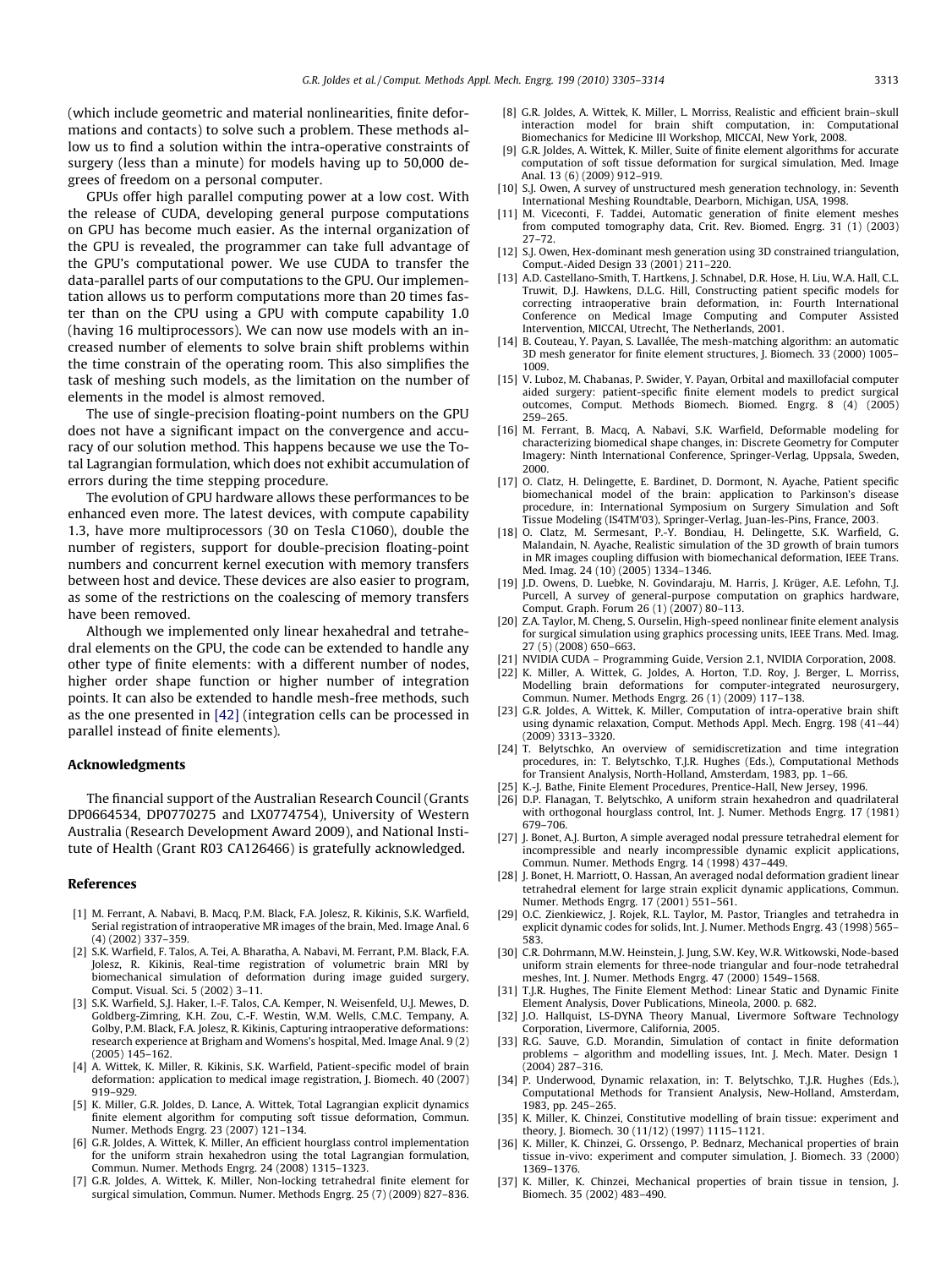<span id="page-8-0"></span>(which include geometric and material nonlinearities, finite deformations and contacts) to solve such a problem. These methods allow us to find a solution within the intra-operative constraints of surgery (less than a minute) for models having up to 50,000 degrees of freedom on a personal computer.

GPUs offer high parallel computing power at a low cost. With the release of CUDA, developing general purpose computations on GPU has become much easier. As the internal organization of the GPU is revealed, the programmer can take full advantage of the GPU's computational power. We use CUDA to transfer the data-parallel parts of our computations to the GPU. Our implementation allows us to perform computations more than 20 times faster than on the CPU using a GPU with compute capability 1.0 (having 16 multiprocessors). We can now use models with an increased number of elements to solve brain shift problems within the time constrain of the operating room. This also simplifies the task of meshing such models, as the limitation on the number of elements in the model is almost removed.

The use of single-precision floating-point numbers on the GPU does not have a significant impact on the convergence and accuracy of our solution method. This happens because we use the Total Lagrangian formulation, which does not exhibit accumulation of errors during the time stepping procedure.

The evolution of GPU hardware allows these performances to be enhanced even more. The latest devices, with compute capability 1.3, have more multiprocessors (30 on Tesla C1060), double the number of registers, support for double-precision floating-point numbers and concurrent kernel execution with memory transfers between host and device. These devices are also easier to program, as some of the restrictions on the coalescing of memory transfers have been removed.

Although we implemented only linear hexahedral and tetrahedral elements on the GPU, the code can be extended to handle any other type of finite elements: with a different number of nodes, higher order shape function or higher number of integration points. It can also be extended to handle mesh-free methods, such as the one presented in [\[42\]](#page-9-0) (integration cells can be processed in parallel instead of finite elements).

#### Acknowledgments

The financial support of the Australian Research Council (Grants DP0664534, DP0770275 and LX0774754), University of Western Australia (Research Development Award 2009), and National Institute of Health (Grant R03 CA126466) is gratefully acknowledged.

#### References

- [1] M. Ferrant, A. Nabavi, B. Macq, P.M. Black, F.A. Jolesz, R. Kikinis, S.K. Warfield, Serial registration of intraoperative MR images of the brain, Med. Image Anal. 6 (4) (2002) 337–359.
- [2] S.K. Warfield, F. Talos, A. Tei, A. Bharatha, A. Nabavi, M. Ferrant, P.M. Black, F.A. Jolesz, R. Kikinis, Real-time registration of volumetric brain MRI by biomechanical simulation of deformation during image guided surgery, Comput. Visual. Sci. 5 (2002) 3–11.
- [3] S.K. Warfield, S.J. Haker, I.-F. Talos, C.A. Kemper, N. Weisenfeld, U.J. Mewes, D. Goldberg-Zimring, K.H. Zou, C.-F. Westin, W.M. Wells, C.M.C. Tempany, A. Golby, P.M. Black, F.A. Jolesz, R. Kikinis, Capturing intraoperative deformations: research experience at Brigham and Womens's hospital, Med. Image Anal. 9 (2) (2005) 145–162.
- [4] A. Wittek, K. Miller, R. Kikinis, S.K. Warfield, Patient-specific model of brain deformation: application to medical image registration, J. Biomech. 40 (2007) 919–929.
- [5] K. Miller, G.R. Joldes, D. Lance, A. Wittek, Total Lagrangian explicit dynamics finite element algorithm for computing soft tissue deformation, Commun. Numer. Methods Engrg. 23 (2007) 121–134.
- [6] G.R. Joldes, A. Wittek, K. Miller, An efficient hourglass control implementation for the uniform strain hexahedron using the total Lagrangian formulation, Commun. Numer. Methods Engrg. 24 (2008) 1315–1323.
- [7] G.R. Joldes, A. Wittek, K. Miller, Non-locking tetrahedral finite element for surgical simulation, Commun. Numer. Methods Engrg. 25 (7) (2009) 827–836.
- [8] G.R. Joldes, A. Wittek, K. Miller, L. Morriss, Realistic and efficient brain–skull interaction model for brain shift computation, in: Computational Biomechanics for Medicine III Workshop, MICCAI, New York, 2008.
- G.R. Joldes, A. Wittek, K. Miller, Suite of finite element algorithms for accurate computation of soft tissue deformation for surgical simulation, Med. Image Anal. 13 (6) (2009) 912–919.
- [10] S.J. Owen, A survey of unstructured mesh generation technology, in: Seventh International Meshing Roundtable, Dearborn, Michigan, USA, 1998.
- [11] M. Viceconti, F. Taddei, Automatic generation of finite element meshes from computed tomography data, Crit. Rev. Biomed. Engrg. 31 (1) (2003) 27–72.
- [12] S.J. Owen, Hex-dominant mesh generation using 3D constrained triangulation, Comput.-Aided Design 33 (2001) 211–220.
- [13] A.D. Castellano-Smith, T. Hartkens, J. Schnabel, D.R. Hose, H. Liu, W.A. Hall, C.L. Truwit, D.J. Hawkens, D.L.G. Hill, Constructing patient specific models for correcting intraoperative brain deformation, in: Fourth International Computing and Computer Assisted Intervention, MICCAI, Utrecht, The Netherlands, 2001.
- [14] B. Couteau, Y. Payan, S. Lavallée, The mesh-matching algorithm: an automatic 3D mesh generator for finite element structures, J. Biomech. 33 (2000) 1005– 1009.
- [15] V. Luboz, M. Chabanas, P. Swider, Y. Payan, Orbital and maxillofacial computer aided surgery: patient-specific finite element models to predict surgical outcomes, Comput. Methods Biomech. Biomed. Engrg. 8 (4) (2005) 259–265.
- [16] M. Ferrant, B. Macq, A. Nabavi, S.K. Warfield, Deformable modeling for characterizing biomedical shape changes, in: Discrete Geometry for Computer Imagery: Ninth International Conference, Springer-Verlag, Uppsala, Sweden, 2000.
- [17] O. Clatz, H. Delingette, E. Bardinet, D. Dormont, N. Ayache, Patient specific biomechanical model of the brain: application to Parkinson's disease procedure, in: International Symposium on Surgery Simulation and Soft Tissue Modeling (IS4TM'03), Springer-Verlag, Juan-les-Pins, France, 2003.
- [18] O. Clatz, M. Sermesant, P.-Y. Bondiau, H. Delingette, S.K. Warfield, G. Malandain, N. Ayache, Realistic simulation of the 3D growth of brain tumors in MR images coupling diffusion with biomechanical deformation, IEEE Trans. Med. Imag. 24 (10) (2005) 1334–1346.
- [19] J.D. Owens, D. Luebke, N. Govindaraju, M. Harris, J. Krüger, A.E. Lefohn, T.J. Purcell, A survey of general-purpose computation on graphics hardware, Comput. Graph. Forum 26 (1) (2007) 80–113.
- [20] Z.A. Taylor, M. Cheng, S. Ourselin, High-speed nonlinear finite element analysis for surgical simulation using graphics processing units, IEEE Trans. Med. Imag. 27 (5) (2008) 650–663.
- [21] NVIDIA CUDA Programming Guide, Version 2.1, NVIDIA Corporation, 2008.
- [22] K. Miller, A. Wittek, G. Joldes, A. Horton, T.D. Roy, J. Berger, L. Morriss, Modelling brain deformations for computer-integrated neurosurgery, Commun. Numer. Methods Engrg. 26 (1) (2009) 117–138.
- [23] G.R. Joldes, A. Wittek, K. Miller, Computation of intra-operative brain shift using dynamic relaxation, Comput. Methods Appl. Mech. Engrg. 198 (41–44) (2009) 3313–3320.
- [24] T. Belytschko, An overview of semidiscretization and time integration procedures, in: T. Belytschko, T.J.R. Hughes (Eds.), Computational Methods for Transient Analysis, North-Holland, Amsterdam, 1983, pp. 1–66.
- [25] K.-J. Bathe, Finite Element Procedures, Prentice-Hall, New Jersey, 1996.
- [26] D.P. Flanagan, T. Belytschko, A uniform strain hexahedron and quadrilateral with orthogonal hourglass control, Int. J. Numer. Methods Engrg. 17 (1981) 679–706.
- [27] J. Bonet, A.J. Burton, A simple averaged nodal pressure tetrahedral element for incompressible and nearly incompressible dynamic explicit applications, Commun. Numer. Methods Engrg. 14 (1998) 437–449.
- [28] J. Bonet, H. Marriott, O. Hassan, An averaged nodal deformation gradient linear tetrahedral element for large strain explicit dynamic applications, Commun. Numer. Methods Engrg. 17 (2001) 551–561.
- [29] O.C. Zienkiewicz, J. Rojek, R.L. Taylor, M. Pastor, Triangles and tetrahedra in explicit dynamic codes for solids, Int. J. Numer. Methods Engrg. 43 (1998) 565– 583.
- [30] C.R. Dohrmann, M.W. Heinstein, J. Jung, S.W. Key, W.R. Witkowski, Node-based uniform strain elements for three-node triangular and four-node tetrahedral meshes, Int. J. Numer. Methods Engrg. 47 (2000) 1549–1568.
- T.J.R. Hughes, The Finite Element Method: Linear Static and Dynamic Finite Element Analysis, Dover Publications, Mineola, 2000. p. 682.
- [32] J.O. Hallquist, LS-DYNA Theory Manual, Livermore Software Technology Corporation, Livermore, California, 2005.
- [33] R.G. Sauve, G.D. Morandin, Simulation of contact in finite deformation problems – algorithm and modelling issues, Int. J. Mech. Mater. Design 1  $(2004)$  287–316
- [34] P. Underwood, Dynamic relaxation, in: T. Belytschko, T.J.R. Hughes (Eds.), Computational Methods for Transient Analysis, New-Holland, Amsterdam, 1983, pp. 245–265.
- [35] K. Miller, K. Chinzei, Constitutive modelling of brain tissue: experiment and theory, J. Biomech. 30 (11/12) (1997) 1115–1121.
- [36] K. Miller, K. Chinzei, G. Orssengo, P. Bednarz, Mechanical properties of brain tissue in-vivo: experiment and computer simulation, J. Biomech. 33 (2000) 1369–1376.
- [37] K. Miller, K. Chinzei, Mechanical properties of brain tissue in tension, J. Biomech. 35 (2002) 483–490.